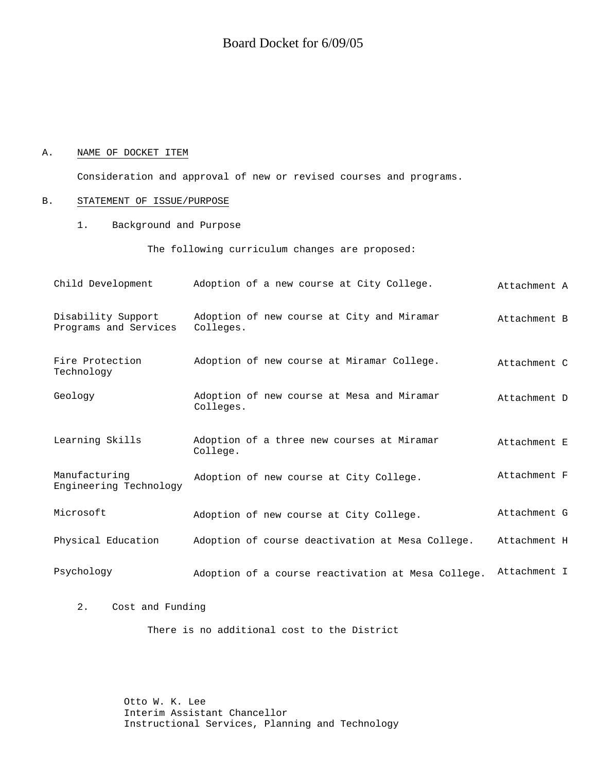### A. NAME OF DOCKET ITEM

Consideration and approval of new or revised courses and programs.

## B. STATEMENT OF ISSUE/PURPOSE

1. Background and Purpose

The following curriculum changes are proposed:

| Child Development                           | Adoption of a new course at City College.               | Attachment A |
|---------------------------------------------|---------------------------------------------------------|--------------|
| Disability Support<br>Programs and Services | Adoption of new course at City and Miramar<br>Colleges. | Attachment B |
| Fire Protection<br>Technology               | Adoption of new course at Miramar College.              | Attachment C |
| Geology                                     | Adoption of new course at Mesa and Miramar<br>Colleges. | Attachment D |
| Learning Skills                             | Adoption of a three new courses at Miramar<br>College.  | Attachment E |
| Manufacturing<br>Engineering Technology     | Adoption of new course at City College.                 | Attachment F |
| Microsoft                                   | Adoption of new course at City College.                 | Attachment G |
| Physical Education                          | Adoption of course deactivation at Mesa College.        | Attachment H |
| Psychology                                  | Adoption of a course reactivation at Mesa College.      | Attachment I |

2. Cost and Funding

There is no additional cost to the District

Otto W. K. Lee Interim Assistant Chancellor Instructional Services, Planning and Technology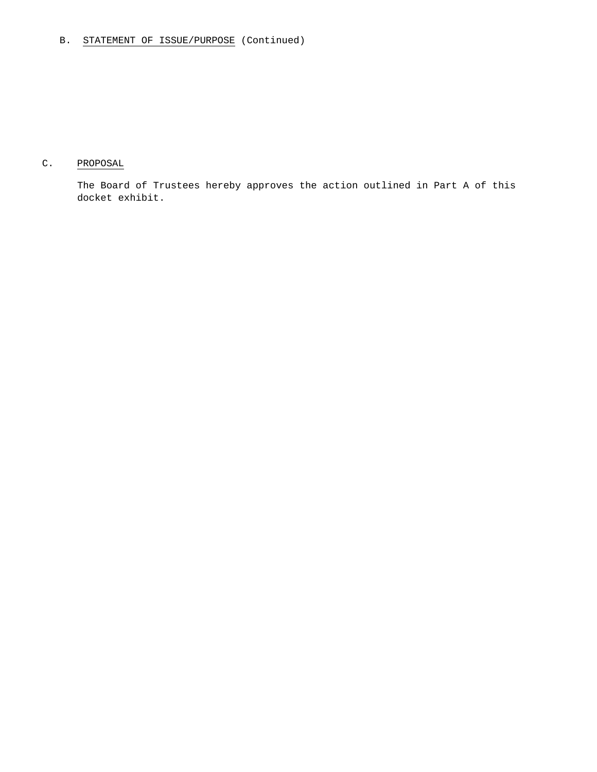# C. PROPOSAL

The Board of Trustees hereby approves the action outlined in Part A of this docket exhibit.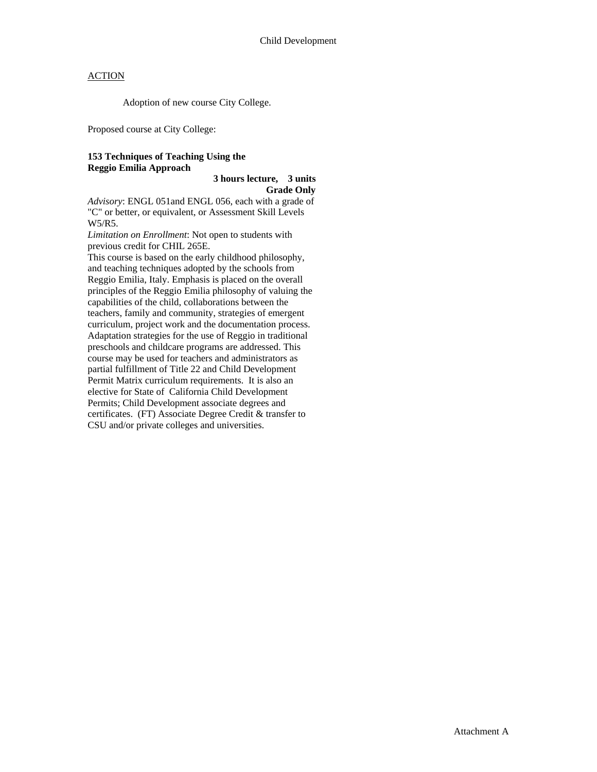Adoption of new course City College.

Proposed course at City College:

### **153 Techniques of Teaching Using the Reggio Emilia Approach**

 **3 hours lecture, 3 units Grade Only**

*Advisory*: ENGL 051and ENGL 056, each with a grade of "C" or better, or equivalent, or Assessment Skill Levels W5/R5.

*Limitation on Enrollment*: Not open to students with previous credit for CHIL 265E.

This course is based on the early childhood philosophy, and teaching techniques adopted by the schools from Reggio Emilia, Italy. Emphasis is placed on the overall principles of the Reggio Emilia philosophy of valuing the capabilities of the child, collaborations between the teachers, family and community, strategies of emergent curriculum, project work and the documentation process. Adaptation strategies for the use of Reggio in traditional preschools and childcare programs are addressed. This course may be used for teachers and administrators as partial fulfillment of Title 22 and Child Development Permit Matrix curriculum requirements. It is also an elective for State of California Child Development Permits; Child Development associate degrees and certificates. (FT) Associate Degree Credit & transfer to CSU and/or private colleges and universities.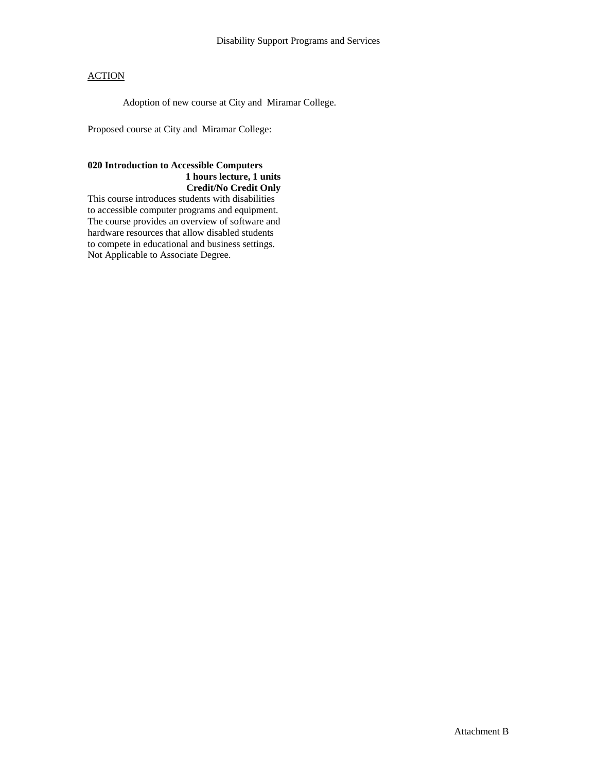Adoption of new course at City and Miramar College.

Proposed course at City and Miramar College:

### **020 Introduction to Accessible Computers 1 hours lecture, 1 units Credit/No Credit Only**

This course introduces students with disabilities to accessible computer programs and equipment. The course provides an overview of software and hardware resources that allow disabled students to compete in educational and business settings. Not Applicable to Associate Degree.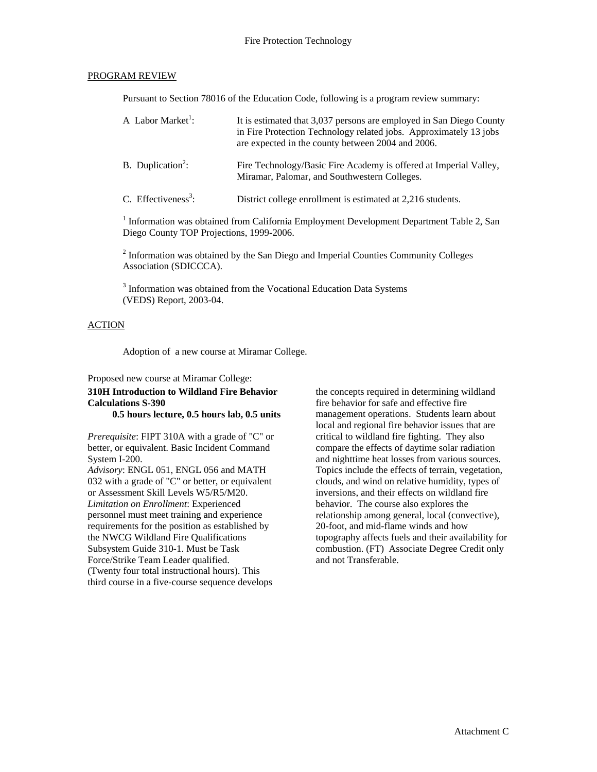#### PROGRAM REVIEW

Pursuant to Section 78016 of the Education Code, following is a program review summary:

| A Labor Market <sup>1</sup> :   | It is estimated that 3,037 persons are employed in San Diego County<br>in Fire Protection Technology related jobs. Approximately 13 jobs<br>are expected in the county between 2004 and 2006. |
|---------------------------------|-----------------------------------------------------------------------------------------------------------------------------------------------------------------------------------------------|
| B. Duplication <sup>2</sup> :   | Fire Technology/Basic Fire Academy is offered at Imperial Valley,<br>Miramar, Palomar, and Southwestern Colleges.                                                                             |
| C. Effectiveness <sup>3</sup> : | District college enrollment is estimated at 2,216 students.                                                                                                                                   |

<sup>1</sup> Information was obtained from California Employment Development Department Table 2, San Diego County TOP Projections, 1999-2006.

 $2$  Information was obtained by the San Diego and Imperial Counties Community Colleges Association (SDICCCA).

<sup>3</sup> Information was obtained from the Vocational Education Data Systems (VEDS) Report, 2003-04.

#### ACTION

Adoption of a new course at Miramar College.

# Proposed new course at Miramar College:

**310H Introduction to Wildland Fire Behavior Calculations S-390 0.5 hours lecture, 0.5 hours lab, 0.5 units** 

*Prerequisite*: FIPT 310A with a grade of "C" or

better, or equivalent. Basic Incident Command System I-200.

*Advisory*: ENGL 051, ENGL 056 and MATH 032 with a grade of "C" or better, or equivalent or Assessment Skill Levels W5/R5/M20. *Limitation on Enrollment*: Experienced personnel must meet training and experience requirements for the position as established by the NWCG Wildland Fire Qualifications Subsystem Guide 310-1. Must be Task Force/Strike Team Leader qualified. (Twenty four total instructional hours). This third course in a five-course sequence develops

the concepts required in determining wildland fire behavior for safe and effective fire management operations. Students learn about local and regional fire behavior issues that are critical to wildland fire fighting. They also compare the effects of daytime solar radiation and nighttime heat losses from various sources. Topics include the effects of terrain, vegetation, clouds, and wind on relative humidity, types of inversions, and their effects on wildland fire behavior. The course also explores the relationship among general, local (convective), 20-foot, and mid-flame winds and how topography affects fuels and their availability for combustion. (FT) Associate Degree Credit only and not Transferable.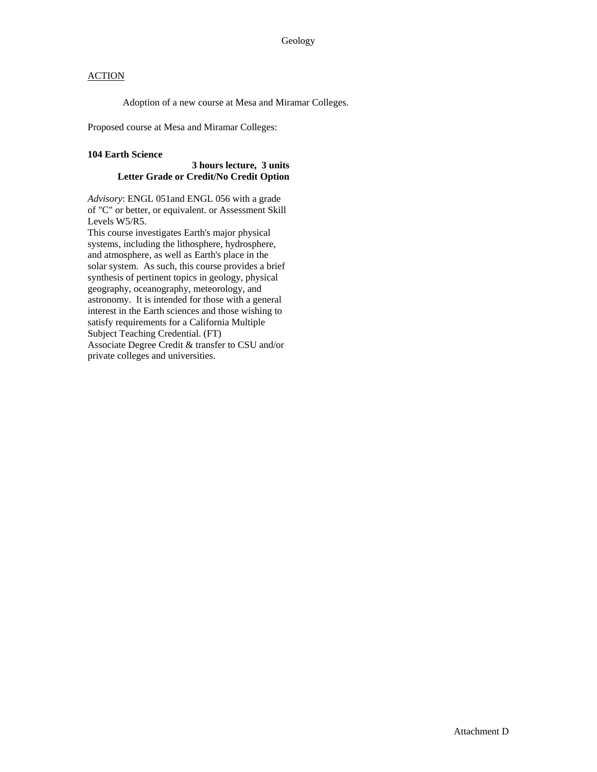Adoption of a new course at Mesa and Miramar Colleges.

Proposed course at Mesa and Miramar Colleges:

### **104 Earth Science**

### **3 hours lecture, 3 units Letter Grade or Credit/No Credit Option**

*Advisory*: ENGL 051and ENGL 056 with a grade of "C" or better, or equivalent. or Assessment Skill Levels W5/R5.

This course investigates Earth's major physical systems, including the lithosphere, hydrosphere, and atmosphere, as well as Earth's place in the solar system. As such, this course provides a brief synthesis of pertinent topics in geology, physical geography, oceanography, meteorology, and astronomy. It is intended for those with a general interest in the Earth sciences and those wishing to satisfy requirements for a California Multiple Subject Teaching Credential. (FT) Associate Degree Credit & transfer to CSU and/or private colleges and universities.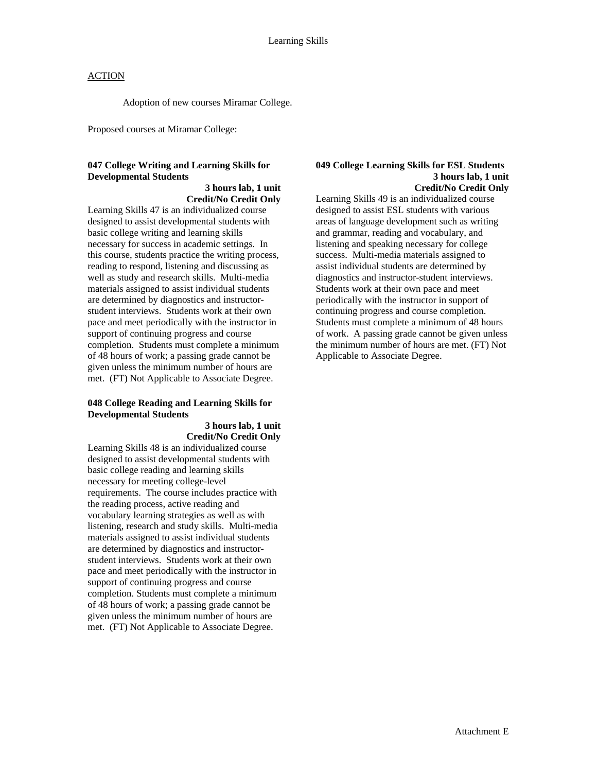Adoption of new courses Miramar College.

Proposed courses at Miramar College:

# **047 College Writing and Learning Skills for Developmental Students**

### **3 hours lab, 1 unit Credit/No Credit Only**

Learning Skills 47 is an individualized course designed to assist developmental students with basic college writing and learning skills necessary for success in academic settings. In this course, students practice the writing process, reading to respond, listening and discussing as well as study and research skills. Multi-media materials assigned to assist individual students are determined by diagnostics and instructorstudent interviews. Students work at their own pace and meet periodically with the instructor in support of continuing progress and course completion. Students must complete a minimum of 48 hours of work; a passing grade cannot be given unless the minimum number of hours are met. (FT) Not Applicable to Associate Degree.

### **048 College Reading and Learning Skills for Developmental Students**

### **3 hours lab, 1 unit Credit/No Credit Only**

Learning Skills 48 is an individualized course designed to assist developmental students with basic college reading and learning skills necessary for meeting college-level requirements. The course includes practice with the reading process, active reading and vocabulary learning strategies as well as with listening, research and study skills. Multi-media materials assigned to assist individual students are determined by diagnostics and instructorstudent interviews. Students work at their own pace and meet periodically with the instructor in support of continuing progress and course completion. Students must complete a minimum of 48 hours of work; a passing grade cannot be given unless the minimum number of hours are met. (FT) Not Applicable to Associate Degree.

#### **049 College Learning Skills for ESL Students 3 hours lab, 1 unit Credit/No Credit Only**

Learning Skills 49 is an individualized course designed to assist ESL students with various areas of language development such as writing and grammar, reading and vocabulary, and listening and speaking necessary for college success. Multi-media materials assigned to assist individual students are determined by diagnostics and instructor-student interviews. Students work at their own pace and meet periodically with the instructor in support of continuing progress and course completion. Students must complete a minimum of 48 hours of work. A passing grade cannot be given unless the minimum number of hours are met. (FT) Not Applicable to Associate Degree.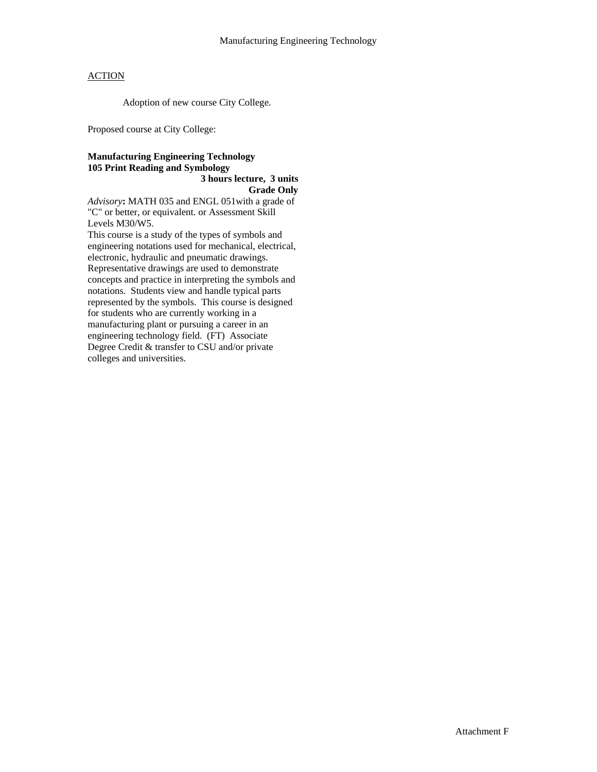Adoption of new course City College.

Proposed course at City College:

### **Manufacturing Engineering Technology 105 Print Reading and Symbology 3 hours lecture, 3 units**

**Grade Only** 

*Advisory***:** MATH 035 and ENGL 051with a grade of "C" or better, or equivalent. or Assessment Skill Levels M30/W5.

This course is a study of the types of symbols and engineering notations used for mechanical, electrical, electronic, hydraulic and pneumatic drawings. Representative drawings are used to demonstrate concepts and practice in interpreting the symbols and notations. Students view and handle typical parts represented by the symbols. This course is designed for students who are currently working in a manufacturing plant or pursuing a career in an engineering technology field. (FT) Associate Degree Credit & transfer to CSU and/or private colleges and universities.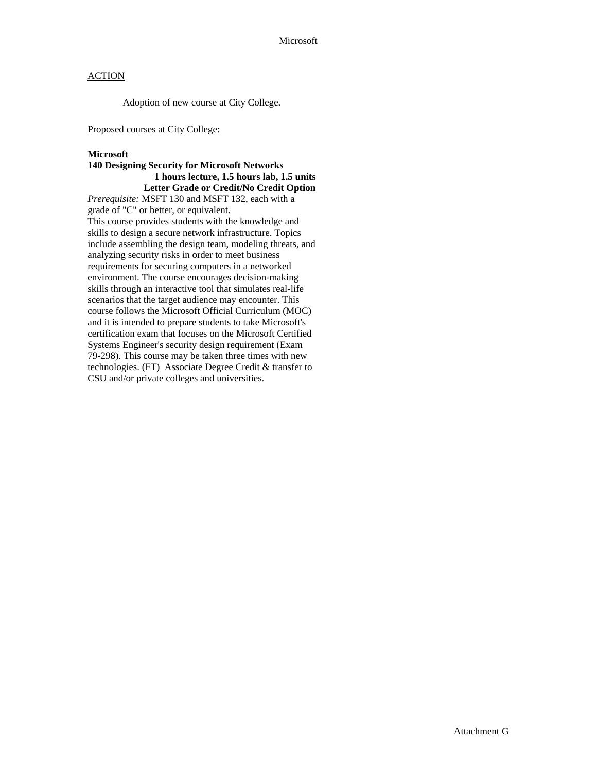Adoption of new course at City College.

Proposed courses at City College:

#### **Microsoft**

### **140 Designing Security for Microsoft Networks 1 hours lecture, 1.5 hours lab, 1.5 units Letter Grade or Credit/No Credit Option**

*Prerequisite:* MSFT 130 and MSFT 132, each with a grade of "C" or better, or equivalent. This course provides students with the knowledge and skills to design a secure network infrastructure. Topics include assembling the design team, modeling threats, and analyzing security risks in order to meet business requirements for securing computers in a networked environment. The course encourages decision-making skills through an interactive tool that simulates real-life scenarios that the target audience may encounter. This course follows the Microsoft Official Curriculum (MOC) and it is intended to prepare students to take Microsoft's certification exam that focuses on the Microsoft Certified Systems Engineer's security design requirement (Exam 79-298). This course may be taken three times with new technologies. (FT) Associate Degree Credit & transfer to CSU and/or private colleges and universities.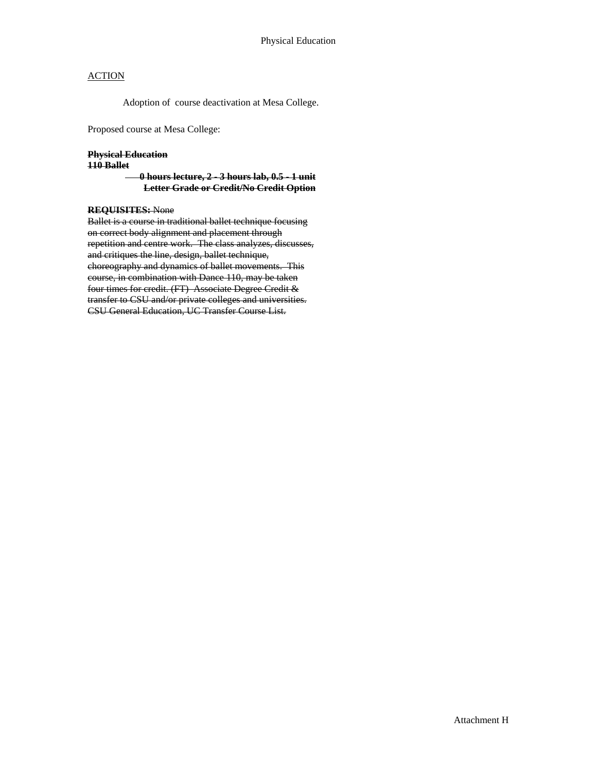Adoption of course deactivation at Mesa College.

Proposed course at Mesa College:

#### **Physical Education**

#### **110 Ballet**

 **0 hours lecture, 2 - 3 hours lab, 0.5 - 1 unit Letter Grade or Credit/No Credit Option**

### **REQUISITES:** None

Ballet is a course in traditional ballet technique focusing on correct body alignment and placement through repetition and centre work. The class analyzes, discusses, and critiques the line, design, ballet technique, choreography and dynamics of ballet movements. This course, in combination with Dance 110, may be taken four times for credit. (FT) Associate Degree Credit & transfer to CSU and/or private colleges and universities. CSU General Education, UC Transfer Course List.